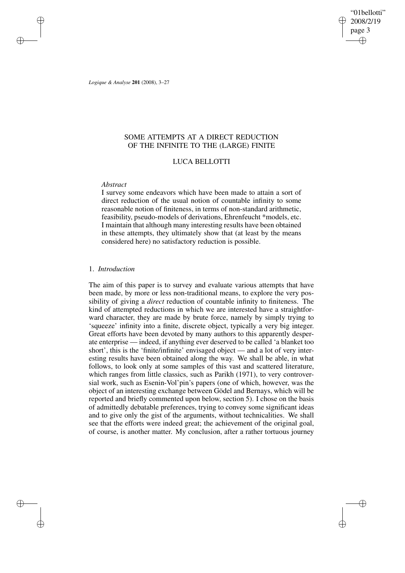"01bellotti" 2008/2/19 page 3 ✐ ✐

✐

✐

*Logique & Analyse* **201** (2008), 3–27

✐

✐

✐

✐

# SOME ATTEMPTS AT A DIRECT REDUCTION OF THE INFINITE TO THE (LARGE) FINITE

# LUCA BELLOTTI

## *Abstract*

I survey some endeavors which have been made to attain a sort of direct reduction of the usual notion of countable infinity to some reasonable notion of finiteness, in terms of non-standard arithmetic, feasibility, pseudo-models of derivations, Ehrenfeucht \*models, etc. I maintain that although many interesting results have been obtained in these attempts, they ultimately show that (at least by the means considered here) no satisfactory reduction is possible.

## 1. *Introduction*

The aim of this paper is to survey and evaluate various attempts that have been made, by more or less non-traditional means, to explore the very possibility of giving a *direct* reduction of countable infinity to finiteness. The kind of attempted reductions in which we are interested have a straightforward character, they are made by brute force, namely by simply trying to 'squeeze' infinity into a finite, discrete object, typically a very big integer. Great efforts have been devoted by many authors to this apparently desperate enterprise — indeed, if anything ever deserved to be called 'a blanket too short', this is the 'finite/infinite' envisaged object — and a lot of very interesting results have been obtained along the way. We shall be able, in what follows, to look only at some samples of this vast and scattered literature, which ranges from little classics, such as Parikh (1971), to very controversial work, such as Esenin-Vol'pin's papers (one of which, however, was the object of an interesting exchange between Gödel and Bernays, which will be reported and briefly commented upon below, section 5). I chose on the basis of admittedly debatable preferences, trying to convey some significant ideas and to give only the gist of the arguments, without technicalities. We shall see that the efforts were indeed great; the achievement of the original goal, of course, is another matter. My conclusion, after a rather tortuous journey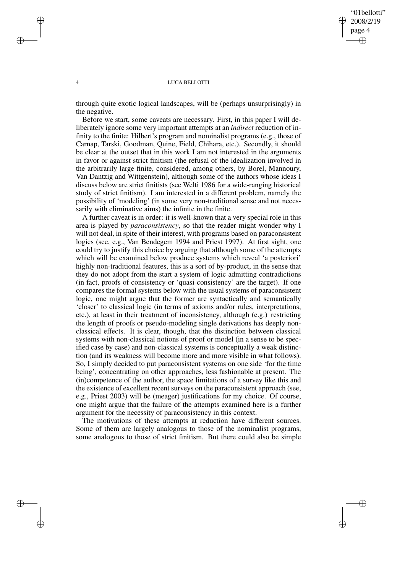# "01bellotti" 2008/2/19 page 4 ✐ ✐

✐

✐

#### 4 LUCA BELLOTTI

✐

✐

✐

✐

through quite exotic logical landscapes, will be (perhaps unsurprisingly) in the negative.

Before we start, some caveats are necessary. First, in this paper I will deliberately ignore some very important attempts at an *indirect* reduction of infinity to the finite: Hilbert's program and nominalist programs (e.g., those of Carnap, Tarski, Goodman, Quine, Field, Chihara, etc.). Secondly, it should be clear at the outset that in this work I am not interested in the arguments in favor or against strict finitism (the refusal of the idealization involved in the arbitrarily large finite, considered, among others, by Borel, Mannoury, Van Dantzig and Wittgenstein), although some of the authors whose ideas I discuss below are strict finitists (see Welti 1986 for a wide-ranging historical study of strict finitism). I am interested in a different problem, namely the possibility of 'modeling' (in some very non-traditional sense and not necessarily with eliminative aims) the infinite in the finite.

A further caveat is in order: it is well-known that a very special role in this area is played by *paraconsistency*, so that the reader might wonder why I will not deal, in spite of their interest, with programs based on paraconsistent logics (see, e.g., Van Bendegem 1994 and Priest 1997). At first sight, one could try to justify this choice by arguing that although some of the attempts which will be examined below produce systems which reveal 'a posteriori' highly non-traditional features, this is a sort of by-product, in the sense that they do not adopt from the start a system of logic admitting contradictions (in fact, proofs of consistency or 'quasi-consistency' are the target). If one compares the formal systems below with the usual systems of paraconsistent logic, one might argue that the former are syntactically and semantically 'closer' to classical logic (in terms of axioms and/or rules, interpretations, etc.), at least in their treatment of inconsistency, although (e.g.) restricting the length of proofs or pseudo-modeling single derivations has deeply nonclassical effects. It is clear, though, that the distinction between classical systems with non-classical notions of proof or model (in a sense to be specified case by case) and non-classical systems is conceptually a weak distinction (and its weakness will become more and more visible in what follows). So, I simply decided to put paraconsistent systems on one side 'for the time being', concentrating on other approaches, less fashionable at present. The (in)competence of the author, the space limitations of a survey like this and the existence of excellent recent surveys on the paraconsistent approach (see, e.g., Priest 2003) will be (meager) justifications for my choice. Of course, one might argue that the failure of the attempts examined here is a further argument for the necessity of paraconsistency in this context.

The motivations of these attempts at reduction have different sources. Some of them are largely analogous to those of the nominalist programs, some analogous to those of strict finitism. But there could also be simple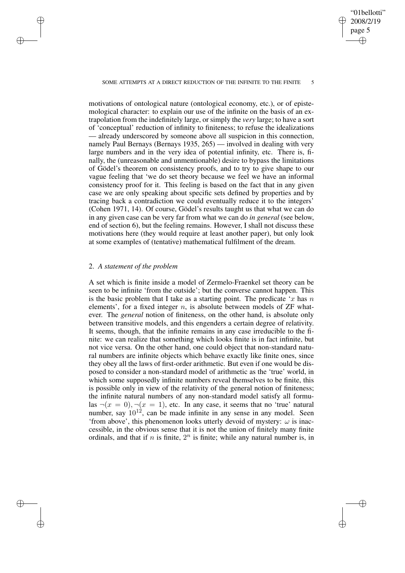✐

#### SOME ATTEMPTS AT A DIRECT REDUCTION OF THE INFINITE TO THE FINITE 5

motivations of ontological nature (ontological economy, etc.), or of epistemological character: to explain our use of the infinite on the basis of an extrapolation from the indefinitely large, or simply the *very* large; to have a sort of 'conceptual' reduction of infinity to finiteness; to refuse the idealizations — already underscored by someone above all suspicion in this connection, namely Paul Bernays (Bernays 1935, 265) — involved in dealing with very large numbers and in the very idea of potential infinity, etc. There is, finally, the (unreasonable and unmentionable) desire to bypass the limitations of Gödel's theorem on consistency proofs, and to try to give shape to our vague feeling that 'we do set theory because we feel we have an informal consistency proof for it. This feeling is based on the fact that in any given case we are only speaking about specific sets defined by properties and by tracing back a contradiction we could eventually reduce it to the integers' (Cohen 1971, 14). Of course, Gödel's results taught us that what we can do in any given case can be very far from what we can do *in general* (see below, end of section 6), but the feeling remains. However, I shall not discuss these motivations here (they would require at least another paper), but only look at some examples of (tentative) mathematical fulfilment of the dream.

# 2. *A statement of the problem*

✐

✐

✐

✐

A set which is finite inside a model of Zermelo-Fraenkel set theory can be seen to be infinite 'from the outside'; but the converse cannot happen. This is the basic problem that I take as a starting point. The predicate  $x$  has n elements', for a fixed integer  $n$ , is absolute between models of  $ZF$  whatever. The *general* notion of finiteness, on the other hand, is absolute only between transitive models, and this engenders a certain degree of relativity. It seems, though, that the infinite remains in any case irreducible to the finite: we can realize that something which looks finite is in fact infinite, but not vice versa. On the other hand, one could object that non-standard natural numbers are infinite objects which behave exactly like finite ones, since they obey all the laws of first-order arithmetic. But even if one would be disposed to consider a non-standard model of arithmetic as the 'true' world, in which some supposedly infinite numbers reveal themselves to be finite, this is possible only in view of the relativity of the general notion of finiteness; the infinite natural numbers of any non-standard model satisfy all formulas  $\neg(x = 0), \neg(x = 1)$ , etc. In any case, it seems that no 'true' natural number, say  $10^{12}$ , can be made infinite in any sense in any model. Seen 'from above', this phenomenon looks utterly devoid of mystery:  $\omega$  is inaccessible, in the obvious sense that it is not the union of finitely many finite ordinals, and that if n is finite,  $2^n$  is finite; while any natural number is, in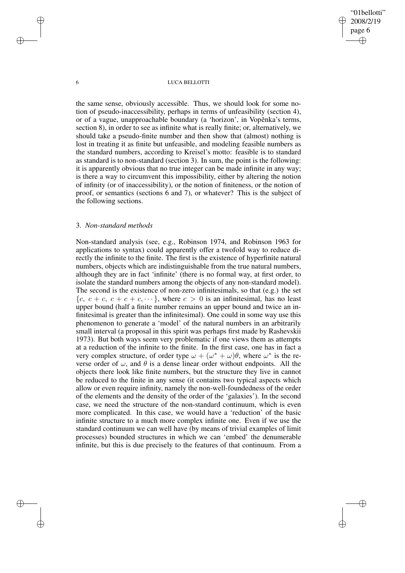"01bellotti" 2008/2/19 page 6 ✐ ✐

✐

✐

## 6 LUCA BELLOTTI

the same sense, obviously accessible. Thus, we should look for some notion of pseudo-inaccessibility, perhaps in terms of unfeasibility (section 4), or of a vague, unapproachable boundary (a 'horizon', in Vopěnka's terms, section 8), in order to see as infinite what is really finite; or, alternatively, we should take a pseudo-finite number and then show that (almost) nothing is lost in treating it as finite but unfeasible, and modeling feasible numbers as the standard numbers, according to Kreisel's motto: feasible is to standard as standard is to non-standard (section 3). In sum, the point is the following: it is apparently obvious that no true integer can be made infinite in any way; is there a way to circumvent this impossibility, either by altering the notion of infinity (or of inaccessibility), or the notion of finiteness, or the notion of proof, or semantics (sections 6 and 7), or whatever? This is the subject of the following sections.

## 3. *Non-standard methods*

Non-standard analysis (see, e.g., Robinson 1974, and Robinson 1963 for applications to syntax) could apparently offer a twofold way to reduce directly the infinite to the finite. The first is the existence of hyperfinite natural numbers, objects which are indistinguishable from the true natural numbers, although they are in fact 'infinite' (there is no formal way, at first order, to isolate the standard numbers among the objects of any non-standard model). The second is the existence of non-zero infinitesimals, so that (e.g.) the set  ${c, c + c, c + c + c, \dots}$ , where  $c > 0$  is an infinitesimal, has no least upper bound (half a finite number remains an upper bound and twice an infinitesimal is greater than the infinitesimal). One could in some way use this phenomenon to generate a 'model' of the natural numbers in an arbitrarily small interval (a proposal in this spirit was perhaps first made by Rashevskii 1973). But both ways seem very problematic if one views them as attempts at a reduction of the infinite to the finite. In the first case, one has in fact a very complex structure, of order type  $\omega + (\omega^* + \omega)\theta$ , where  $\omega^*$  is the reverse order of  $\omega$ , and  $\theta$  is a dense linear order without endpoints. All the objects there look like finite numbers, but the structure they live in cannot be reduced to the finite in any sense (it contains two typical aspects which allow or even require infinity, namely the non-well-foundedness of the order of the elements and the density of the order of the 'galaxies'). In the second case, we need the structure of the non-standard continuum, which is even more complicated. In this case, we would have a 'reduction' of the basic infinite structure to a much more complex infinite one. Even if we use the standard continuum we can well have (by means of trivial examples of limit processes) bounded structures in which we can 'embed' the denumerable infinite, but this is due precisely to the features of that continuum. From a

✐

✐

✐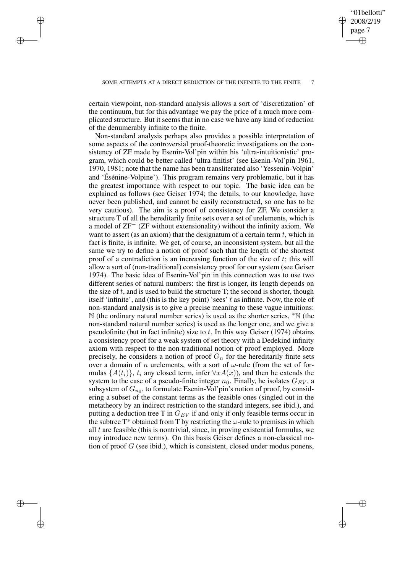✐

✐

✐

✐

✐

certain viewpoint, non-standard analysis allows a sort of 'discretization' of the continuum, but for this advantage we pay the price of a much more complicated structure. But it seems that in no case we have any kind of reduction of the denumerably infinite to the finite.

Non-standard analysis perhaps also provides a possible interpretation of some aspects of the controversial proof-theoretic investigations on the consistency of ZF made by Esenin-Vol'pin within his 'ultra-intuitionistic' program, which could be better called 'ultra-finitist' (see Esenin-Vol'pin 1961, 1970, 1981; note that the name has been transliterated also 'Yessenin-Volpin' and 'Ésénine-Volpine'). This program remains very problematic, but it has the greatest importance with respect to our topic. The basic idea can be explained as follows (see Geiser 1974; the details, to our knowledge, have never been published, and cannot be easily reconstructed, so one has to be very cautious). The aim is a proof of consistency for ZF. We consider a structure T of all the hereditarily finite sets over a set of urelements, which is a model of ZF<sup>−</sup> (ZF without extensionality) without the infinity axiom. We want to assert (as an axiom) that the designatum of a certain term  $t$ , which in fact is finite, is infinite. We get, of course, an inconsistent system, but all the same we try to define a notion of proof such that the length of the shortest proof of a contradiction is an increasing function of the size of  $t$ ; this will allow a sort of (non-traditional) consistency proof for our system (see Geiser 1974). The basic idea of Esenin-Vol'pin in this connection was to use two different series of natural numbers: the first is longer, its length depends on the size of  $t$ , and is used to build the structure  $T$ ; the second is shorter, though itself 'infinite', and (this is the key point) 'sees'  $t$  as infinite. Now, the role of non-standard analysis is to give a precise meaning to these vague intuitions: N (the ordinary natural number series) is used as the shorter series, <sup>∗</sup>N (the non-standard natural number series) is used as the longer one, and we give a pseudofinite (but in fact infinite) size to  $t$ . In this way Geiser (1974) obtains a consistency proof for a weak system of set theory with a Dedekind infinity axiom with respect to the non-traditional notion of proof employed. More precisely, he considers a notion of proof  $G_n$  for the hereditarily finite sets over a domain of n urelements, with a sort of  $\omega$ -rule (from the set of formulas  $\{A(t_i)\}\$ ,  $t_i$  any closed term, infer  $\forall x A(x)$ ), and then he extends the system to the case of a pseudo-finite integer  $n_0$ . Finally, he isolates  $G_{EV}$ , a subsystem of  $G_{n_0}$ , to formulate Esenin-Vol'pin's notion of proof, by considering a subset of the constant terms as the feasible ones (singled out in the metatheory by an indirect restriction to the standard integers, see ibid.), and putting a deduction tree T in  $G_{EV}$  if and only if only feasible terms occur in the subtree  $T^*$  obtained from T by restricting the  $\omega$ -rule to premises in which all  $t$  are feasible (this is nontrivial, since, in proving existential formulas, we may introduce new terms). On this basis Geiser defines a non-classical notion of proof G (see ibid.), which is consistent, closed under modus ponens,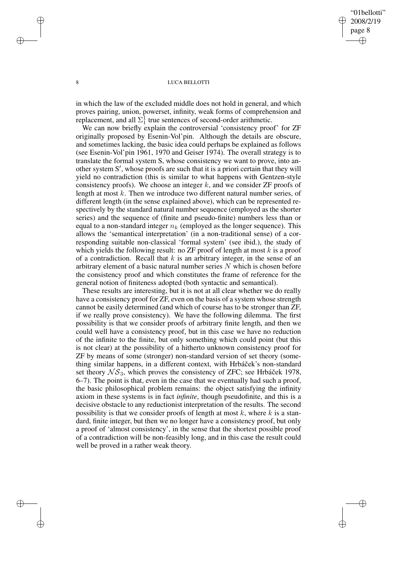# "01bellotti" 2008/2/19 page 8 ✐ ✐

✐

✐

## 8 LUCA BELLOTTI

✐

✐

✐

✐

in which the law of the excluded middle does not hold in general, and which proves pairing, union, powerset, infinity, weak forms of comprehension and replacement, and all  $\Sigma_1^1$  true sentences of second-order arithmetic.

We can now briefly explain the controversial 'consistency proof' for ZF originally proposed by Esenin-Vol'pin. Although the details are obscure, and sometimes lacking, the basic idea could perhaps be explained as follows (see Esenin-Vol'pin 1961, 1970 and Geiser 1974). The overall strategy is to translate the formal system S, whose consistency we want to prove, into another system S', whose proofs are such that it is a priori certain that they will yield no contradiction (this is similar to what happens with Gentzen-style consistency proofs). We choose an integer  $k$ , and we consider  $ZF$  proofs of length at most  $k$ . Then we introduce two different natural number series, of different length (in the sense explained above), which can be represented respectively by the standard natural number sequence (employed as the shorter series) and the sequence of (finite and pseudo-finite) numbers less than or equal to a non-standard integer  $n_k$  (employed as the longer sequence). This allows the 'semantical interpretation' (in a non-traditional sense) of a corresponding suitable non-classical 'formal system' (see ibid.), the study of which yields the following result: no ZF proof of length at most  $k$  is a proof of a contradiction. Recall that  $k$  is an arbitrary integer, in the sense of an arbitrary element of a basic natural number series  $N$  which is chosen before the consistency proof and which constitutes the frame of reference for the general notion of finiteness adopted (both syntactic and semantical).

These results are interesting, but it is not at all clear whether we do really have a consistency proof for ZF, even on the basis of a system whose strength cannot be easily determined (and which of course has to be stronger than ZF, if we really prove consistency). We have the following dilemma. The first possibility is that we consider proofs of arbitrary finite length, and then we could well have a consistency proof, but in this case we have no reduction of the infinite to the finite, but only something which could point (but this is not clear) at the possibility of a hitherto unknown consistency proof for ZF by means of some (stronger) non-standard version of set theory (something similar happens, in a different context, with Hrbáček's non-standard set theory  $\mathcal{NS}_3$ , which proves the consistency of ZFC; see Hrbáček 1978, 6–7). The point is that, even in the case that we eventually had such a proof, the basic philosophical problem remains: the object satisfying the infinity axiom in these systems is in fact *infinite*, though pseudofinite, and this is a decisive obstacle to any reductionist interpretation of the results. The second possibility is that we consider proofs of length at most  $k$ , where  $k$  is a standard, finite integer, but then we no longer have a consistency proof, but only a proof of 'almost consistency', in the sense that the shortest possible proof of a contradiction will be non-feasibly long, and in this case the result could well be proved in a rather weak theory.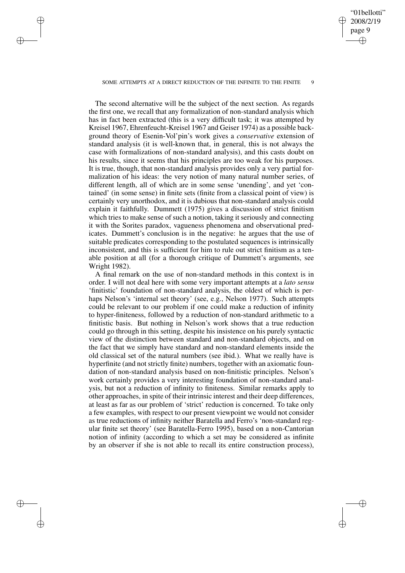## "01bellotti" 2008/2/19 page 9 ✐ ✐

✐

✐

### SOME ATTEMPTS AT A DIRECT REDUCTION OF THE INFINITE TO THE FINITE

✐

✐

✐

✐

The second alternative will be the subject of the next section. As regards the first one, we recall that any formalization of non-standard analysis which has in fact been extracted (this is a very difficult task; it was attempted by Kreisel 1967, Ehrenfeucht-Kreisel 1967 and Geiser 1974) as a possible background theory of Esenin-Vol'pin's work gives a *conservative* extension of standard analysis (it is well-known that, in general, this is not always the case with formalizations of non-standard analysis), and this casts doubt on his results, since it seems that his principles are too weak for his purposes. It is true, though, that non-standard analysis provides only a very partial formalization of his ideas: the very notion of many natural number series, of different length, all of which are in some sense 'unending', and yet 'contained' (in some sense) in finite sets (finite from a classical point of view) is certainly very unorthodox, and it is dubious that non-standard analysis could explain it faithfully. Dummett (1975) gives a discussion of strict finitism which tries to make sense of such a notion, taking it seriously and connecting it with the Sorites paradox, vagueness phenomena and observational predicates. Dummett's conclusion is in the negative: he argues that the use of suitable predicates corresponding to the postulated sequences is intrinsically inconsistent, and this is sufficient for him to rule out strict finitism as a tenable position at all (for a thorough critique of Dummett's arguments, see Wright 1982).

A final remark on the use of non-standard methods in this context is in order. I will not deal here with some very important attempts at a *lato sensu* 'finitistic' foundation of non-standard analysis, the oldest of which is perhaps Nelson's 'internal set theory' (see, e.g., Nelson 1977). Such attempts could be relevant to our problem if one could make a reduction of infinity to hyper-finiteness, followed by a reduction of non-standard arithmetic to a finitistic basis. But nothing in Nelson's work shows that a true reduction could go through in this setting, despite his insistence on his purely syntactic view of the distinction between standard and non-standard objects, and on the fact that we simply have standard and non-standard elements inside the old classical set of the natural numbers (see ibid.). What we really have is hyperfinite (and not strictly finite) numbers, together with an axiomatic foundation of non-standard analysis based on non-finitistic principles. Nelson's work certainly provides a very interesting foundation of non-standard analysis, but not a reduction of infinity to finiteness. Similar remarks apply to other approaches, in spite of their intrinsic interest and their deep differences, at least as far as our problem of 'strict' reduction is concerned. To take only a few examples, with respect to our present viewpoint we would not consider as true reductions of infinity neither Baratella and Ferro's 'non-standard regular finite set theory' (see Baratella-Ferro 1995), based on a non-Cantorian notion of infinity (according to which a set may be considered as infinite by an observer if she is not able to recall its entire construction process),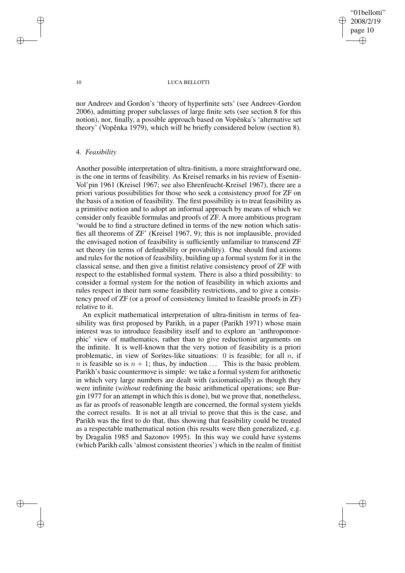"01bellotti" 2008/2/19 page 10 ✐ ✐

✐

✐

### 10 LUCA BELLOTTI

nor Andreev and Gordon's 'theory of hyperfinite sets' (see Andreev-Gordon 2006), admitting proper subclasses of large finite sets (see section 8 for this notion), nor, finally, a possible approach based on Vopěnka's 'alternative set theory' (Vopěnka 1979), which will be briefly considered below (section 8).

## 4. *Feasibility*

Another possible interpretation of ultra-finitism, a more straightforward one, is the one in terms of feasibility. As Kreisel remarks in his review of Esenin-Vol'pin 1961 (Kreisel 1967; see also Ehrenfeucht-Kreisel 1967), there are a priori various possibilities for those who seek a consistency proof for ZF on the basis of a notion of feasibility. The first possibility is to treat feasibility as a primitive notion and to adopt an informal approach by means of which we consider only feasible formulas and proofs of ZF. A more ambitious program 'would be to find a structure defined in terms of the new notion which satisfies all theorems of ZF' (Kreisel 1967, 9); this is not implausible, provided the envisaged notion of feasibility is sufficiently unfamiliar to transcend ZF set theory (in terms of definability or provability). One should find axioms and rules for the notion of feasibility, building up a formal system for it in the classical sense, and then give a finitist relative consistency proof of ZF with respect to the established formal system. There is also a third possibility: to consider a formal system for the notion of feasibility in which axioms and rules respect in their turn some feasibility restrictions, and to give a consistency proof of ZF (or a proof of consistency limited to feasible proofs in ZF) relative to it.

An explicit mathematical interpretation of ultra-finitism in terms of feasibility was first proposed by Parikh, in a paper (Parikh 1971) whose main interest was to introduce feasibility itself and to explore an 'anthropomorphic' view of mathematics, rather than to give reductionist arguments on the infinite. It is well-known that the very notion of feasibility is a priori problematic, in view of Sorites-like situations: 0 is feasible; for all  $n$ , if *n* is feasible so is  $n + 1$ ; thus, by induction ... This is the basic problem. Parikh's basic countermove is simple: we take a formal system for arithmetic in which very large numbers are dealt with (axiomatically) as though they were infinite (*without* redefining the basic arithmetical operations; see Burgin 1977 for an attempt in which this is done), but we prove that, nonetheless, as far as proofs of reasonable length are concerned, the formal system yields the correct results. It is not at all trivial to prove that this is the case, and Parikh was the first to do that, thus showing that feasibility could be treated as a respectable mathematical notion (his results were then generalized, e.g. by Dragalin 1985 and Sazonov 1995). In this way we could have systems (which Parikh calls 'almost consistent theories') which in the realm of finitist

✐

✐

✐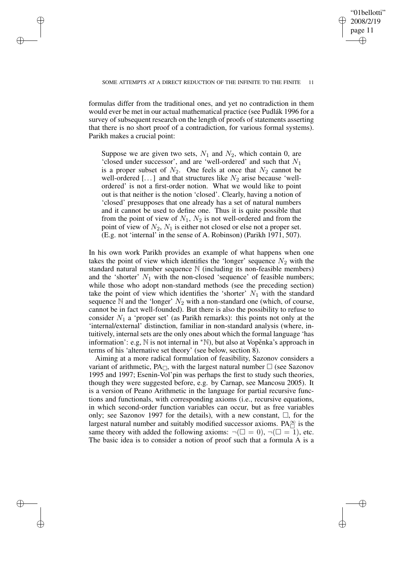✐

✐

✐

✐

✐

formulas differ from the traditional ones, and yet no contradiction in them would ever be met in our actual mathematical practice (see Pudlák 1996 for a survey of subsequent research on the length of proofs of statements asserting that there is no short proof of a contradiction, for various formal systems). Parikh makes a crucial point:

Suppose we are given two sets,  $N_1$  and  $N_2$ , which contain 0, are 'closed under successor', and are 'well-ordered' and such that  $N_1$ is a proper subset of  $N_2$ . One feels at once that  $N_2$  cannot be well-ordered [...] and that structures like  $N_2$  arise because 'wellordered' is not a first-order notion. What we would like to point out is that neither is the notion 'closed'. Clearly, having a notion of 'closed' presupposes that one already has a set of natural numbers and it cannot be used to define one. Thus it is quite possible that from the point of view of  $N_1$ ,  $N_2$  is not well-ordered and from the point of view of  $N_2$ ,  $N_1$  is either not closed or else not a proper set. (E.g. not 'internal' in the sense of A. Robinson) (Parikh 1971, 507).

In his own work Parikh provides an example of what happens when one takes the point of view which identifies the 'longer' sequence  $N_2$  with the standard natural number sequence N (including its non-feasible members) and the 'shorter'  $N_1$  with the non-closed 'sequence' of feasible numbers; while those who adopt non-standard methods (see the preceding section) take the point of view which identifies the 'shorter'  $N_1$  with the standard sequence  $\mathbb N$  and the 'longer'  $N_2$  with a non-standard one (which, of course, cannot be in fact well-founded). But there is also the possibility to refuse to consider  $N_1$  a 'proper set' (as Parikh remarks): this points not only at the 'internal/external' distinction, familiar in non-standard analysis (where, intuitively, internal sets are the only ones about which the formal language 'has information': e.g,  $\mathbb N$  is not internal in  $*\mathbb N$ , but also at Vopěnka's approach in terms of his 'alternative set theory' (see below, section 8).

Aiming at a more radical formulation of feasibility, Sazonov considers a variant of arithmetic,  $PA_{\Box}$ , with the largest natural number  $\Box$  (see Sazonov 1995 and 1997; Esenin-Vol'pin was perhaps the first to study such theories, though they were suggested before, e.g. by Carnap, see Mancosu 2005). It is a version of Peano Arithmetic in the language for partial recursive functions and functionals, with corresponding axioms (i.e., recursive equations, in which second-order function variables can occur, but as free variables only; see Sazonov 1997 for the details), with a new constant,  $\Box$ , for the largest natural number and suitably modified successor axioms.  $PA_{\Box}^{\infty}$  is the same theory with added the following axioms:  $\neg(\Box = 0), \neg(\Box = 1)$ , etc. The basic idea is to consider a notion of proof such that a formula A is a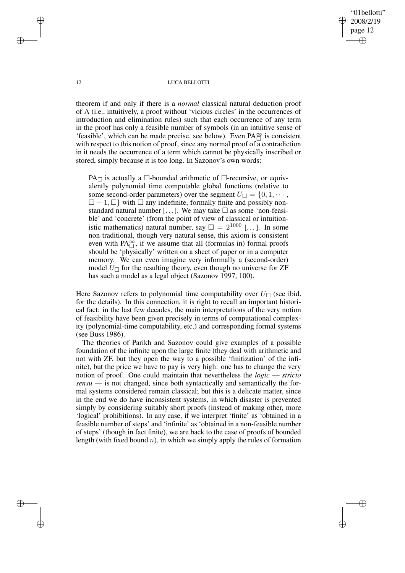# "01bellotti" 2008/2/19 page 12 ✐ ✐

✐

✐

#### 12 LUCA BELLOTTI

theorem if and only if there is a *normal* classical natural deduction proof of A (i.e., intuitively, a proof without 'vicious circles' in the occurrences of introduction and elimination rules) such that each occurrence of any term in the proof has only a feasible number of symbols (in an intuitive sense of  $\frac{1}{2}$  is consistent that can be made precise, see below). Even PA $\frac{1}{\Box}$  is consistent with respect to this notion of proof, since any normal proof of  $\overline{a}$  contradiction in it needs the occurrence of a term which cannot be physically inscribed or stored, simply because it is too long. In Sazonov's own words:

 $PA<sub>~</sub>$  is actually a  $\Box$ -bounded arithmetic of  $\Box$ -recursive, or equivalently polynomial time computable global functions (relative to some second-order parameters) over the segment  $U_{\Box} = \{0, 1, \cdots, \}$  $\Box - 1, \Box$  with  $\Box$  any indefinite, formally finite and possibly nonstandard natural number [...]. We may take  $\Box$  as some 'non-feasible' and 'concrete' (from the point of view of classical or intuitionistic mathematics) natural number, say  $\square = 2^{1000}$  [...]. In some non-traditional, though very natural sense, this axiom is consistent even with  $PA^{\infty}_{\square}$ , if we assume that all (formulas in) formal proofs should be 'physically' written on a sheet of paper or in a computer memory. We can even imagine very informally a (second-order) model  $U_{\square}$  for the resulting theory, even though no universe for ZF has such a model as a legal object (Sazonov 1997, 100).

Here Sazonov refers to polynomial time computability over  $U_{\Box}$  (see ibid. for the details). In this connection, it is right to recall an important historical fact: in the last few decades, the main interpretations of the very notion of feasibility have been given precisely in terms of computational complexity (polynomial-time computability, etc.) and corresponding formal systems (see Buss 1986).

The theories of Parikh and Sazonov could give examples of a possible foundation of the infinite upon the large finite (they deal with arithmetic and not with ZF, but they open the way to a possible 'finitization' of the infinite), but the price we have to pay is very high: one has to change the very notion of proof. One could maintain that nevertheless the *logic* — *stricto sensu* — is not changed, since both syntactically and semantically the formal systems considered remain classical; but this is a delicate matter, since in the end we do have inconsistent systems, in which disaster is prevented simply by considering suitably short proofs (instead of making other, more 'logical' prohibitions). In any case, if we interpret 'finite' as 'obtained in a feasible number of steps' and 'infinite' as 'obtained in a non-feasible number of steps' (though in fact finite), we are back to the case of proofs of bounded length (with fixed bound  $n$ ), in which we simply apply the rules of formation

✐

✐

✐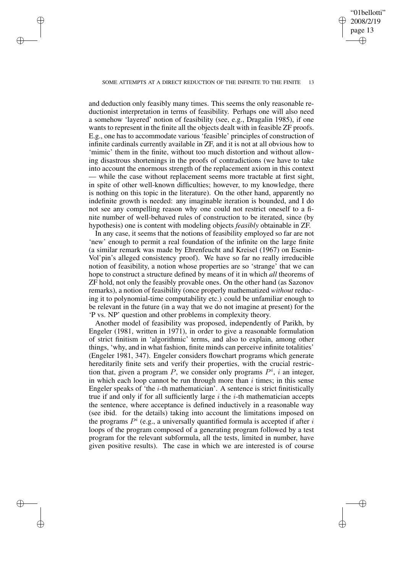✐

#### SOME ATTEMPTS AT A DIRECT REDUCTION OF THE INFINITE TO THE FINITE

✐

✐

✐

✐

and deduction only feasibly many times. This seems the only reasonable reductionist interpretation in terms of feasibility. Perhaps one will also need a somehow 'layered' notion of feasibility (see, e.g., Dragalin 1985), if one wants to represent in the finite all the objects dealt with in feasible ZF proofs. E.g., one has to accommodate various 'feasible' principles of construction of infinite cardinals currently available in ZF, and it is not at all obvious how to 'mimic' them in the finite, without too much distortion and without allowing disastrous shortenings in the proofs of contradictions (we have to take into account the enormous strength of the replacement axiom in this context — while the case without replacement seems more tractable at first sight, in spite of other well-known difficulties; however, to my knowledge, there is nothing on this topic in the literature). On the other hand, apparently no indefinite growth is needed: any imaginable iteration is bounded, and I do not see any compelling reason why one could not restrict oneself to a finite number of well-behaved rules of construction to be iterated, since (by hypothesis) one is content with modeling objects *feasibly* obtainable in ZF.

In any case, it seems that the notions of feasibility employed so far are not 'new' enough to permit a real foundation of the infinite on the large finite (a similar remark was made by Ehrenfeucht and Kreisel (1967) on Esenin-Vol'pin's alleged consistency proof). We have so far no really irreducible notion of feasibility, a notion whose properties are so 'strange' that we can hope to construct a structure defined by means of it in which *all* theorems of ZF hold, not only the feasibly provable ones. On the other hand (as Sazonov remarks), a notion of feasibility (once properly mathematized *without* reducing it to polynomial-time computability etc.) could be unfamiliar enough to be relevant in the future (in a way that we do not imagine at present) for the 'P vs. NP' question and other problems in complexity theory.

Another model of feasibility was proposed, independently of Parikh, by Engeler (1981, written in 1971), in order to give a reasonable formulation of strict finitism in 'algorithmic' terms, and also to explain, among other things, 'why, and in what fashion, finite minds can perceive infinite totalities' (Engeler 1981, 347). Engeler considers flowchart programs which generate hereditarily finite sets and verify their properties, with the crucial restriction that, given a program P, we consider only programs  $P^i$ , i an integer, in which each loop cannot be run through more than  $i$  times; in this sense Engeler speaks of 'the  $i$ -th mathematician'. A sentence is strict finitistically true if and only if for all sufficiently large  $i$  the  $i$ -th mathematician accepts the sentence, where acceptance is defined inductively in a reasonable way (see ibid. for the details) taking into account the limitations imposed on the programs  $P^i$  (e.g., a universally quantified formula is accepted if after i loops of the program composed of a generating program followed by a test program for the relevant subformula, all the tests, limited in number, have given positive results). The case in which we are interested is of course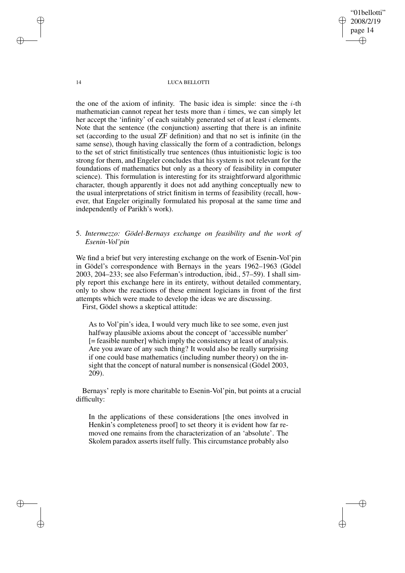"01bellotti" 2008/2/19 page 14 ✐ ✐

✐

✐

14 LUCA BELLOTTI

the one of the axiom of infinity. The basic idea is simple: since the  $i$ -th mathematician cannot repeat her tests more than  $i$  times, we can simply let her accept the 'infinity' of each suitably generated set of at least *i* elements. Note that the sentence (the conjunction) asserting that there is an infinite set (according to the usual ZF definition) and that no set is infinite (in the same sense), though having classically the form of a contradiction, belongs to the set of strict finitistically true sentences (thus intuitionistic logic is too strong for them, and Engeler concludes that his system is not relevant for the foundations of mathematics but only as a theory of feasibility in computer science). This formulation is interesting for its straightforward algorithmic character, though apparently it does not add anything conceptually new to the usual interpretations of strict finitism in terms of feasibility (recall, however, that Engeler originally formulated his proposal at the same time and independently of Parikh's work).

# 5. *Intermezzo: Gödel-Bernays exchange on feasibility and the work of Esenin-Vol'pin*

We find a brief but very interesting exchange on the work of Esenin-Vol'pin in Gödel's correspondence with Bernays in the years 1962–1963 (Gödel 2003, 204–233; see also Feferman's introduction, ibid., 57–59). I shall simply report this exchange here in its entirety, without detailed commentary, only to show the reactions of these eminent logicians in front of the first attempts which were made to develop the ideas we are discussing.

First, Gödel shows a skeptical attitude:

As to Vol'pin's idea, I would very much like to see some, even just halfway plausible axioms about the concept of 'accessible number' [= feasible number] which imply the consistency at least of analysis. Are you aware of any such thing? It would also be really surprising if one could base mathematics (including number theory) on the insight that the concept of natural number is nonsensical (Gödel 2003, 209).

Bernays' reply is more charitable to Esenin-Vol'pin, but points at a crucial difficulty:

In the applications of these considerations [the ones involved in Henkin's completeness proof] to set theory it is evident how far removed one remains from the characterization of an 'absolute'. The Skolem paradox asserts itself fully. This circumstance probably also

✐

✐

✐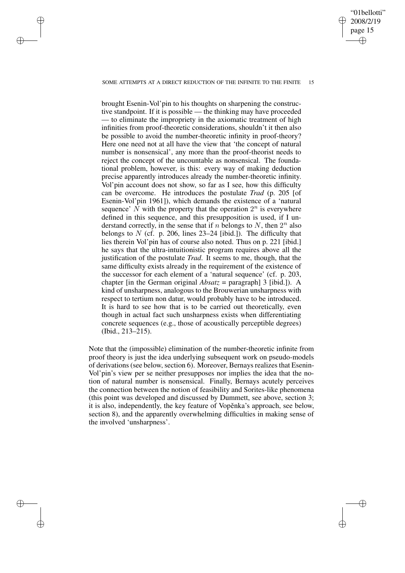#### SOME ATTEMPTS AT A DIRECT REDUCTION OF THE INFINITE TO THE FINITE 15

✐

✐

✐

✐

"01bellotti" 2008/2/19 page 15

✐

✐

✐

✐

brought Esenin-Vol'pin to his thoughts on sharpening the constructive standpoint. If it is possible — the thinking may have proceeded — to eliminate the impropriety in the axiomatic treatment of high infinities from proof-theoretic considerations, shouldn't it then also be possible to avoid the number-theoretic infinity in proof-theory? Here one need not at all have the view that 'the concept of natural number is nonsensical', any more than the proof-theorist needs to reject the concept of the uncountable as nonsensical. The foundational problem, however, is this: every way of making deduction precise apparently introduces already the number-theoretic infinity. Vol'pin account does not show, so far as I see, how this difficulty can be overcome. He introduces the postulate *Trad* (p. 205 [of Esenin-Vol'pin 1961]), which demands the existence of a 'natural sequence'  $\hat{N}$  with the property that the operation  $2^n$  is everywhere defined in this sequence, and this presupposition is used, if I understand correctly, in the sense that if n belongs to N, then  $2^n$  also belongs to  $N$  (cf. p. 206, lines 23-24 [ibid.]). The difficulty that lies therein Vol'pin has of course also noted. Thus on p. 221 [ibid.] he says that the ultra-intuitionistic program requires above all the justification of the postulate *Trad*. It seems to me, though, that the same difficulty exists already in the requirement of the existence of the successor for each element of a 'natural sequence' (cf. p. 203, chapter [in the German original *Absatz* = paragraph] 3 [ibid.]). A kind of unsharpness, analogous to the Brouwerian unsharpness with respect to tertium non datur, would probably have to be introduced. It is hard to see how that is to be carried out theoretically, even though in actual fact such unsharpness exists when differentiating concrete sequences (e.g., those of acoustically perceptible degrees) (Ibid., 213–215).

Note that the (impossible) elimination of the number-theoretic infinite from proof theory is just the idea underlying subsequent work on pseudo-models of derivations (see below, section 6). Moreover, Bernays realizes that Esenin-Vol'pin's view per se neither presupposes nor implies the idea that the notion of natural number is nonsensical. Finally, Bernays acutely perceives the connection between the notion of feasibility and Sorites-like phenomena (this point was developed and discussed by Dummett, see above, section 3; it is also, independently, the key feature of Vopěnka's approach, see below, section 8), and the apparently overwhelming difficulties in making sense of the involved 'unsharpness'.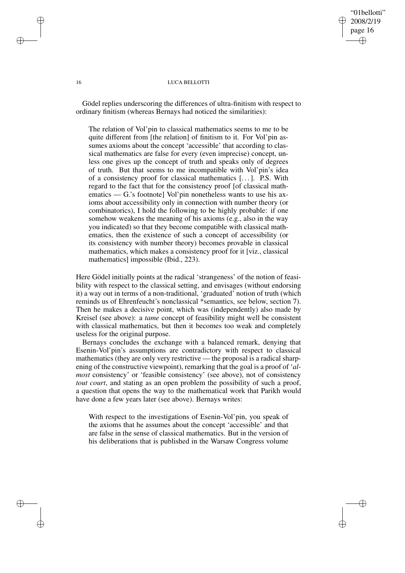# "01bellotti" 2008/2/19 page 16 ✐ ✐

✐

✐

#### 16 LUCA BELLOTTI

Gödel replies underscoring the differences of ultra-finitism with respect to ordinary finitism (whereas Bernays had noticed the similarities):

The relation of Vol'pin to classical mathematics seems to me to be quite different from [the relation] of finitism to it. For Vol'pin assumes axioms about the concept 'accessible' that according to classical mathematics are false for every (even imprecise) concept, unless one gives up the concept of truth and speaks only of degrees of truth. But that seems to me incompatible with Vol'pin's idea of a consistency proof for classical mathematics [. . .]. P.S. With regard to the fact that for the consistency proof [of classical mathematics — G.'s footnote] Vol'pin nonetheless wants to use his axioms about accessibility only in connection with number theory (or combinatorics), I hold the following to be highly probable: if one somehow weakens the meaning of his axioms (e.g., also in the way you indicated) so that they become compatible with classical mathematics, then the existence of such a concept of accessibility (or its consistency with number theory) becomes provable in classical mathematics, which makes a consistency proof for it [viz., classical mathematics] impossible (Ibid., 223).

Here Gödel initially points at the radical 'strangeness' of the notion of feasibility with respect to the classical setting, and envisages (without endorsing it) a way out in terms of a non-traditional, 'graduated' notion of truth (which reminds us of Ehrenfeucht's nonclassical \*semantics, see below, section 7). Then he makes a decisive point, which was (independently) also made by Kreisel (see above): a *tame* concept of feasibility might well be consistent with classical mathematics, but then it becomes too weak and completely useless for the original purpose.

Bernays concludes the exchange with a balanced remark, denying that Esenin-Vol'pin's assumptions are contradictory with respect to classical mathematics (they are only very restrictive — the proposal is a radical sharpening of the constructive viewpoint), remarking that the goal is a proof of '*almost* consistency' or 'feasible consistency' (see above), not of consistency *tout court*, and stating as an open problem the possibility of such a proof, a question that opens the way to the mathematical work that Parikh would have done a few years later (see above). Bernays writes:

With respect to the investigations of Esenin-Vol'pin, you speak of the axioms that he assumes about the concept 'accessible' and that are false in the sense of classical mathematics. But in the version of his deliberations that is published in the Warsaw Congress volume

✐

✐

✐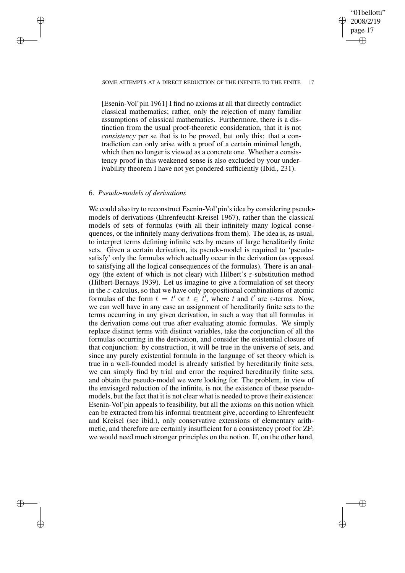#### SOME ATTEMPTS AT A DIRECT REDUCTION OF THE INFINITE TO THE FINITE 17

"01bellotti" 2008/2/19 page 17

✐

✐

✐

✐

[Esenin-Vol'pin 1961] I find no axioms at all that directly contradict classical mathematics; rather, only the rejection of many familiar assumptions of classical mathematics. Furthermore, there is a distinction from the usual proof-theoretic consideration, that it is not *consistency* per se that is to be proved, but only this: that a contradiction can only arise with a proof of a certain minimal length, which then no longer is viewed as a concrete one. Whether a consistency proof in this weakened sense is also excluded by your underivability theorem I have not yet pondered sufficiently (Ibid., 231).

# 6. *Pseudo-models of derivations*

✐

✐

✐

✐

We could also try to reconstruct Esenin-Vol'pin's idea by considering pseudomodels of derivations (Ehrenfeucht-Kreisel 1967), rather than the classical models of sets of formulas (with all their infinitely many logical consequences, or the infinitely many derivations from them). The idea is, as usual, to interpret terms defining infinite sets by means of large hereditarily finite sets. Given a certain derivation, its pseudo-model is required to 'pseudosatisfy' only the formulas which actually occur in the derivation (as opposed to satisfying all the logical consequences of the formulas). There is an analogy (the extent of which is not clear) with Hilbert's  $\varepsilon$ -substitution method (Hilbert-Bernays 1939). Let us imagine to give a formulation of set theory in the  $\varepsilon$ -calculus, so that we have only propositional combinations of atomic formulas of the form  $t = t'$  or  $t \in t'$ , where t and t' are  $\varepsilon$ -terms. Now, we can well have in any case an assignment of hereditarily finite sets to the terms occurring in any given derivation, in such a way that all formulas in the derivation come out true after evaluating atomic formulas. We simply replace distinct terms with distinct variables, take the conjunction of all the formulas occurring in the derivation, and consider the existential closure of that conjunction: by construction, it will be true in the universe of sets, and since any purely existential formula in the language of set theory which is true in a well-founded model is already satisfied by hereditarily finite sets, we can simply find by trial and error the required hereditarily finite sets, and obtain the pseudo-model we were looking for. The problem, in view of the envisaged reduction of the infinite, is not the existence of these pseudomodels, but the fact that it is not clear what is needed to prove their existence: Esenin-Vol'pin appeals to feasibility, but all the axioms on this notion which can be extracted from his informal treatment give, according to Ehrenfeucht and Kreisel (see ibid.), only conservative extensions of elementary arithmetic, and therefore are certainly insufficient for a consistency proof for ZF; we would need much stronger principles on the notion. If, on the other hand,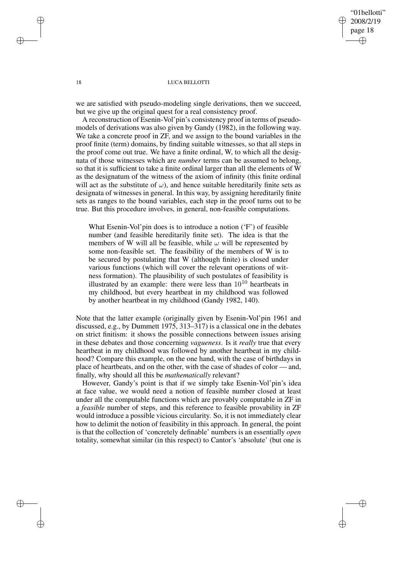"01bellotti" 2008/2/19 page 18 ✐ ✐

✐

✐

#### 18 LUCA BELLOTTI

we are satisfied with pseudo-modeling single derivations, then we succeed, but we give up the original quest for a real consistency proof.

A reconstruction of Esenin-Vol'pin's consistency proof in terms of pseudomodels of derivations was also given by Gandy (1982), in the following way. We take a concrete proof in ZF, and we assign to the bound variables in the proof finite (term) domains, by finding suitable witnesses, so that all steps in the proof come out true. We have a finite ordinal, W, to which all the designata of those witnesses which are *number* terms can be assumed to belong, so that it is sufficient to take a finite ordinal larger than all the elements of W as the designatum of the witness of the axiom of infinity (this finite ordinal will act as the substitute of  $\omega$ ), and hence suitable hereditarily finite sets as designata of witnesses in general. In this way, by assigning hereditarily finite sets as ranges to the bound variables, each step in the proof turns out to be true. But this procedure involves, in general, non-feasible computations.

What Esenin-Vol'pin does is to introduce a notion ('F') of feasible number (and feasible hereditarily finite set). The idea is that the members of W will all be feasible, while  $\omega$  will be represented by some non-feasible set. The feasibility of the members of W is to be secured by postulating that W (although finite) is closed under various functions (which will cover the relevant operations of witness formation). The plausibility of such postulates of feasibility is illustrated by an example: there were less than  $10^{10}$  heartbeats in my childhood, but every heartbeat in my childhood was followed by another heartbeat in my childhood (Gandy 1982, 140).

Note that the latter example (originally given by Esenin-Vol'pin 1961 and discussed, e.g., by Dummett 1975, 313–317) is a classical one in the debates on strict finitism: it shows the possible connections between issues arising in these debates and those concerning *vagueness*. Is it *really* true that every heartbeat in my childhood was followed by another heartbeat in my childhood? Compare this example, on the one hand, with the case of birthdays in place of heartbeats, and on the other, with the case of shades of color — and, finally, why should all this be *mathematically* relevant?

However, Gandy's point is that if we simply take Esenin-Vol'pin's idea at face value, we would need a notion of feasible number closed at least under all the computable functions which are provably computable in ZF in a *feasible* number of steps, and this reference to feasible provability in ZF would introduce a possible vicious circularity. So, it is not immediately clear how to delimit the notion of feasibility in this approach. In general, the point is that the collection of 'concretely definable' numbers is an essentially *open* totality, somewhat similar (in this respect) to Cantor's 'absolute' (but one is

✐

✐

✐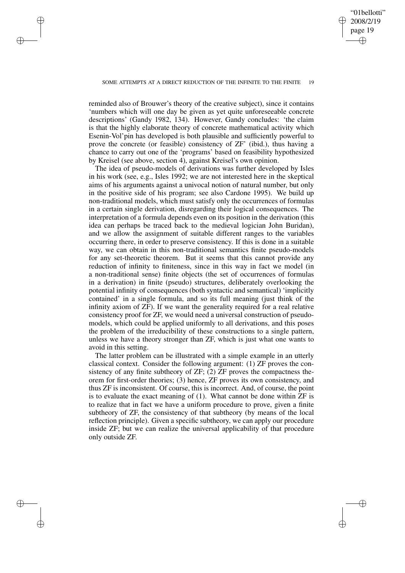✐

✐

✐

✐

✐

reminded also of Brouwer's theory of the creative subject), since it contains 'numbers which will one day be given as yet quite unforeseeable concrete descriptions' (Gandy 1982, 134). However, Gandy concludes: 'the claim is that the highly elaborate theory of concrete mathematical activity which Esenin-Vol'pin has developed is both plausible and sufficiently powerful to prove the concrete (or feasible) consistency of ZF' (ibid.), thus having a chance to carry out one of the 'programs' based on feasibility hypothesized by Kreisel (see above, section 4), against Kreisel's own opinion.

The idea of pseudo-models of derivations was further developed by Isles in his work (see, e.g., Isles 1992; we are not interested here in the skeptical aims of his arguments against a univocal notion of natural number, but only in the positive side of his program; see also Cardone 1995). We build up non-traditional models, which must satisfy only the occurrences of formulas in a certain single derivation, disregarding their logical consequences. The interpretation of a formula depends even on its position in the derivation (this idea can perhaps be traced back to the medieval logician John Buridan), and we allow the assignment of suitable different ranges to the variables occurring there, in order to preserve consistency. If this is done in a suitable way, we can obtain in this non-traditional semantics finite pseudo-models for any set-theoretic theorem. But it seems that this cannot provide any reduction of infinity to finiteness, since in this way in fact we model (in a non-traditional sense) finite objects (the set of occurrences of formulas in a derivation) in finite (pseudo) structures, deliberately overlooking the potential infinity of consequences (both syntactic and semantical) 'implicitly contained' in a single formula, and so its full meaning (just think of the infinity axiom of ZF). If we want the generality required for a real relative consistency proof for ZF, we would need a universal construction of pseudomodels, which could be applied uniformly to all derivations, and this poses the problem of the irreducibility of these constructions to a single pattern, unless we have a theory stronger than ZF, which is just what one wants to avoid in this setting.

The latter problem can be illustrated with a simple example in an utterly classical context. Consider the following argument: (1) ZF proves the consistency of any finite subtheory of  $ZF$ ; (2)  $ZF$  proves the compactness theorem for first-order theories; (3) hence, ZF proves its own consistency, and thus ZF is inconsistent. Of course, this is incorrect. And, of course, the point is to evaluate the exact meaning of (1). What cannot be done within ZF is to realize that in fact we have a uniform procedure to prove, given a finite subtheory of ZF, the consistency of that subtheory (by means of the local reflection principle). Given a specific subtheory, we can apply our procedure inside ZF; but we can realize the universal applicability of that procedure only outside ZF.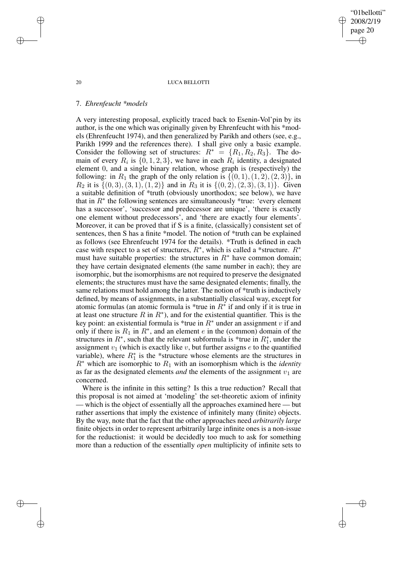#### 20 LUCA BELLOTTI

"01bellotti" 2008/2/19 page 20

✐

✐

✐

✐

## 7. *Ehrenfeucht \*models*

A very interesting proposal, explicitly traced back to Esenin-Vol'pin by its author, is the one which was originally given by Ehrenfeucht with his \*models (Ehrenfeucht 1974), and then generalized by Parikh and others (see, e.g., Parikh 1999 and the references there). I shall give only a basic example. Consider the following set of structures:  $R^* = \{R_1, R_2, R_3\}$ . The domain of every  $R_i$  is  $\{0, 1, 2, 3\}$ , we have in each  $R_i$  identity, a designated element 0, and a single binary relation, whose graph is (respectively) the following: in  $R_1$  the graph of the only relation is  $\{(0, 1), (1, 2), (2, 3)\}\$ , in  $R_2$  it is  $\{(0,3), (3,1), (1,2)\}\$  and in  $R_3$  it is  $\{(0,2), (2,3), (3,1)\}\$ . Given a suitable definition of \*truth (obviously unorthodox; see below), we have that in  $R^*$  the following sentences are simultaneously \*true: 'every element has a successor', 'successor and predecessor are unique', 'there is exactly one element without predecessors', and 'there are exactly four elements'. Moreover, it can be proved that if S is a finite, (classically) consistent set of sentences, then S has a finite \*model. The notion of \*truth can be explained as follows (see Ehrenfeucht 1974 for the details). \*Truth is defined in each case with respect to a set of structures,  $R^*$ , which is called a \*structure.  $R^*$ must have suitable properties: the structures in  $R^*$  have common domain; they have certain designated elements (the same number in each); they are isomorphic, but the isomorphisms are not required to preserve the designated elements; the structures must have the same designated elements; finally, the same relations must hold among the latter. The notion of \*truth is inductively defined, by means of assignments, in a substantially classical way, except for atomic formulas (an atomic formula is \*true in  $R^*$  if and only if it is true in at least one structure  $R$  in  $R^*$ ), and for the existential quantifier. This is the key point: an existential formula is \*true in  $R^*$  under an assignment v if and only if there is  $R_1$  in  $R^*$ , and an element e in the (common) domain of the structures in  $R^*$ , such that the relevant subformula is \*true in  $R_1^*$ , under the assignment  $v_1$  (which is exactly like v, but further assigns  $e$  to the quantified variable), where  $R_1^*$  is the \*structure whose elements are the structures in  $R^*$  which are isomorphic to  $R_1$  with an isomorphism which is the *identity* as far as the designated elements *and* the elements of the assignment  $v_1$  are concerned.

Where is the infinite in this setting? Is this a true reduction? Recall that this proposal is not aimed at 'modeling' the set-theoretic axiom of infinity — which is the object of essentially all the approaches examined here — but rather assertions that imply the existence of infinitely many (finite) objects. By the way, note that the fact that the other approaches need *arbitrarily large* finite objects in order to represent arbitrarily large infinite ones is a non-issue for the reductionist: it would be decidedly too much to ask for something more than a reduction of the essentially *open* multiplicity of infinite sets to

✐

✐

✐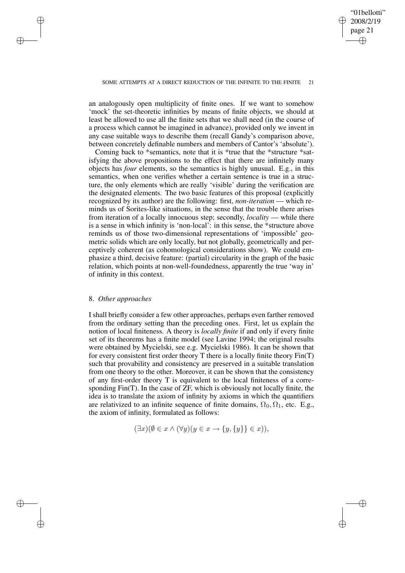✐

### SOME ATTEMPTS AT A DIRECT REDUCTION OF THE INFINITE TO THE FINITE

an analogously open multiplicity of finite ones. If we want to somehow 'mock' the set-theoretic infinities by means of finite objects, we should at least be allowed to use all the finite sets that we shall need (in the course of a process which cannot be imagined in advance), provided only we invent in any case suitable ways to describe them (recall Gandy's comparison above, between concretely definable numbers and members of Cantor's 'absolute').

Coming back to \*semantics, note that it is \*true that the \*structure \*satisfying the above propositions to the effect that there are infinitely many objects has *four* elements, so the semantics is highly unusual. E.g., in this semantics, when one verifies whether a certain sentence is true in a structure, the only elements which are really 'visible' during the verification are the designated elements. The two basic features of this proposal (explicitly recognized by its author) are the following: first, *non-iteration* — which reminds us of Sorites-like situations, in the sense that the trouble there arises from iteration of a locally innocuous step; secondly, *locality* — while there is a sense in which infinity is 'non-local': in this sense, the \*structure above reminds us of those two-dimensional representations of 'impossible' geometric solids which are only locally, but not globally, geometrically and perceptively coherent (as cohomological considerations show). We could emphasize a third, decisive feature: (partial) circularity in the graph of the basic relation, which points at non-well-foundedness, apparently the true 'way in' of infinity in this context.

## 8. *Other approaches*

✐

✐

✐

✐

I shall briefly consider a few other approaches, perhaps even farther removed from the ordinary setting than the preceding ones. First, let us explain the notion of local finiteness. A theory is *locally finite* if and only if every finite set of its theorems has a finite model (see Lavine 1994; the original results were obtained by Mycielski, see e.g. Mycielski 1986). It can be shown that for every consistent first order theory T there is a locally finite theory Fin(T) such that provability and consistency are preserved in a suitable translation from one theory to the other. Moreover, it can be shown that the consistency of any first-order theory T is equivalent to the local finiteness of a corresponding Fin(T). In the case of ZF, which is obviously not locally finite, the idea is to translate the axiom of infinity by axioms in which the quantifiers are relativized to an infinite sequence of finite domains,  $\Omega_0, \Omega_1$ , etc. E.g., the axiom of infinity, formulated as follows:

$$
(\exists x)(\emptyset \in x \land (\forall y)(y \in x \to \{y, \{y\}\} \in x)),
$$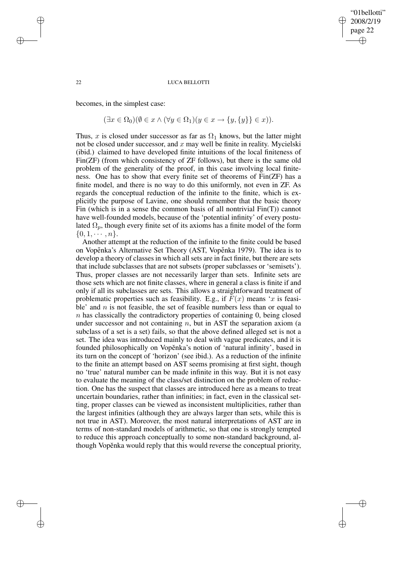## "01bellotti" 2008/2/19 page 22 ✐ ✐

✐

✐

#### 22 LUCA BELLOTTI

becomes, in the simplest case:

✐

✐

✐

✐

$$
(\exists x \in \Omega_0)(\emptyset \in x \land (\forall y \in \Omega_1)(y \in x \to \{y, \{y\}\} \in x)).
$$

Thus, x is closed under successor as far as  $\Omega_1$  knows, but the latter might not be closed under successor, and  $x$  may well be finite in reality. Mycielski (ibid.) claimed to have developed finite intuitions of the local finiteness of Fin(ZF) (from which consistency of ZF follows), but there is the same old problem of the generality of the proof, in this case involving local finiteness. One has to show that every finite set of theorems of Fin(ZF) has a finite model, and there is no way to do this uniformly, not even in ZF. As regards the conceptual reduction of the infinite to the finite, which is explicitly the purpose of Lavine, one should remember that the basic theory Fin (which is in a sense the common basis of all nontrivial  $Fin(T)$ ) cannot have well-founded models, because of the 'potential infinity' of every postulated  $\Omega_p$ , though every finite set of its axioms has a finite model of the form  $\{0, 1, \cdots, n\}.$ 

Another attempt at the reduction of the infinite to the finite could be based on Vopěnka's Alternative Set Theory (AST, Vopěnka 1979). The idea is to develop a theory of classes in which all sets are in fact finite, but there are sets that include subclasses that are not subsets (proper subclasses or 'semisets'). Thus, proper classes are not necessarily larger than sets. Infinite sets are those sets which are not finite classes, where in general a class is finite if and only if all its subclasses are sets. This allows a straightforward treatment of problematic properties such as feasibility. E.g., if  $F(x)$  means 'x is feasible' and  $n$  is not feasible, the set of feasible numbers less than or equal to  $n$  has classically the contradictory properties of containing 0, being closed under successor and not containing  $n$ , but in AST the separation axiom (a subclass of a set is a set) fails, so that the above defined alleged set is not a set. The idea was introduced mainly to deal with vague predicates, and it is founded philosophically on Vopěnka's notion of 'natural infinity', based in its turn on the concept of 'horizon' (see ibid.). As a reduction of the infinite to the finite an attempt based on AST seems promising at first sight, though no 'true' natural number can be made infinite in this way. But it is not easy to evaluate the meaning of the class/set distinction on the problem of reduction. One has the suspect that classes are introduced here as a means to treat uncertain boundaries, rather than infinities; in fact, even in the classical setting, proper classes can be viewed as inconsistent multiplicities, rather than the largest infinities (although they are always larger than sets, while this is not true in AST). Moreover, the most natural interpretations of AST are in terms of non-standard models of arithmetic, so that one is strongly tempted to reduce this approach conceptually to some non-standard background, although Vopěnka would reply that this would reverse the conceptual priority,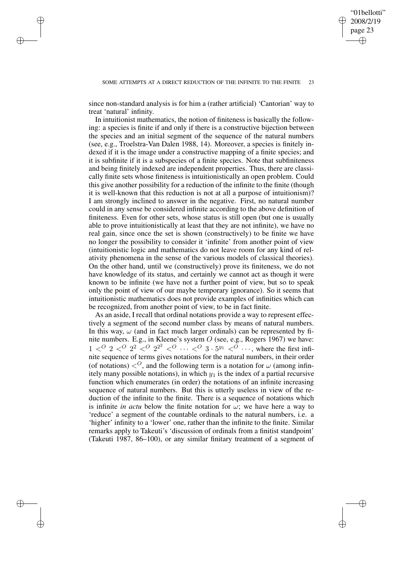✐

since non-standard analysis is for him a (rather artificial) 'Cantorian' way to treat 'natural' infinity.

✐

✐

✐

✐

In intuitionist mathematics, the notion of finiteness is basically the following: a species is finite if and only if there is a constructive bijection between the species and an initial segment of the sequence of the natural numbers (see, e.g., Troelstra-Van Dalen 1988, 14). Moreover, a species is finitely indexed if it is the image under a constructive mapping of a finite species; and it is subfinite if it is a subspecies of a finite species. Note that subfiniteness and being finitely indexed are independent properties. Thus, there are classically finite sets whose finiteness is intuitionistically an open problem. Could this give another possibility for a reduction of the infinite to the finite (though it is well-known that this reduction is not at all a purpose of intuitionism)? I am strongly inclined to answer in the negative. First, no natural number could in any sense be considered infinite according to the above definition of finiteness. Even for other sets, whose status is still open (but one is usually able to prove intuitionistically at least that they are not infinite), we have no real gain, since once the set is shown (constructively) to be finite we have no longer the possibility to consider it 'infinite' from another point of view (intuitionistic logic and mathematics do not leave room for any kind of relativity phenomena in the sense of the various models of classical theories). On the other hand, until we (constructively) prove its finiteness, we do not have knowledge of its status, and certainly we cannot act as though it were known to be infinite (we have not a further point of view, but so to speak only the point of view of our maybe temporary ignorance). So it seems that intuitionistic mathematics does not provide examples of infinities which can be recognized, from another point of view, to be in fact finite.

As an aside, I recall that ordinal notations provide a way to represent effectively a segment of the second number class by means of natural numbers. In this way,  $\omega$  (and in fact much larger ordinals) can be represented by finite numbers. E.g., in Kleene's system O (see, e.g., Rogers 1967) we have:  $1 <sup>O</sup>$   $2 <sup>O</sup>$   $2<sup>2</sup>$   $<sup>O</sup>$   $2<sup>2</sup>$   $<sup>O</sup>$   $\ldots <sup>O</sup>$   $3 \cdot 5<sup>y<sub>1</sub></sup>$   $<sup>O</sup>$   $\ldots$ , where the first infi-</sup></sup></sup> nite sequence of terms gives notations for the natural numbers, in their order (of notations)  $\langle 0 \rangle$ , and the following term is a notation for  $\omega$  (among infinitely many possible notations), in which  $y_1$  is the index of a partial recursive function which enumerates (in order) the notations of an infinite increasing sequence of natural numbers. But this is utterly useless in view of the reduction of the infinite to the finite. There is a sequence of notations which is infinite *in actu* below the finite notation for  $\omega$ ; we have here a way to 'reduce' a segment of the countable ordinals to the natural numbers, i.e. a 'higher' infinity to a 'lower' one, rather than the infinite to the finite. Similar remarks apply to Takeuti's 'discussion of ordinals from a finitist standpoint' (Takeuti 1987, 86–100), or any similar finitary treatment of a segment of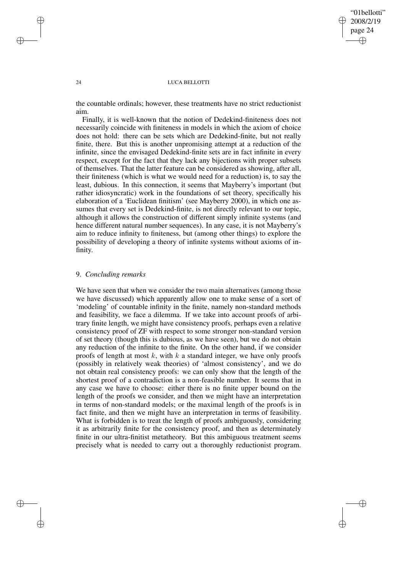✐

#### 24 LUCA BELLOTTI

the countable ordinals; however, these treatments have no strict reductionist aim.

Finally, it is well-known that the notion of Dedekind-finiteness does not necessarily coincide with finiteness in models in which the axiom of choice does not hold: there can be sets which are Dedekind-finite, but not really finite, there. But this is another unpromising attempt at a reduction of the infinite, since the envisaged Dedekind-finite sets are in fact infinite in every respect, except for the fact that they lack any bijections with proper subsets of themselves. That the latter feature can be considered as showing, after all, their finiteness (which is what we would need for a reduction) is, to say the least, dubious. In this connection, it seems that Mayberry's important (but rather idiosyncratic) work in the foundations of set theory, specifically his elaboration of a 'Euclidean finitism' (see Mayberry 2000), in which one assumes that every set is Dedekind-finite, is not directly relevant to our topic, although it allows the construction of different simply infinite systems (and hence different natural number sequences). In any case, it is not Mayberry's aim to reduce infinity to finiteness, but (among other things) to explore the possibility of developing a theory of infinite systems without axioms of infinity.

## 9. *Concluding remarks*

We have seen that when we consider the two main alternatives (among those we have discussed) which apparently allow one to make sense of a sort of 'modeling' of countable infinity in the finite, namely non-standard methods and feasibility, we face a dilemma. If we take into account proofs of arbitrary finite length, we might have consistency proofs, perhaps even a relative consistency proof of ZF with respect to some stronger non-standard version of set theory (though this is dubious, as we have seen), but we do not obtain any reduction of the infinite to the finite. On the other hand, if we consider proofs of length at most  $k$ , with  $k$  a standard integer, we have only proofs (possibly in relatively weak theories) of 'almost consistency', and we do not obtain real consistency proofs: we can only show that the length of the shortest proof of a contradiction is a non-feasible number. It seems that in any case we have to choose: either there is no finite upper bound on the length of the proofs we consider, and then we might have an interpretation in terms of non-standard models; or the maximal length of the proofs is in fact finite, and then we might have an interpretation in terms of feasibility. What is forbidden is to treat the length of proofs ambiguously, considering it as arbitrarily finite for the consistency proof, and then as determinately finite in our ultra-finitist metatheory. But this ambiguous treatment seems precisely what is needed to carry out a thoroughly reductionist program.

✐

✐

✐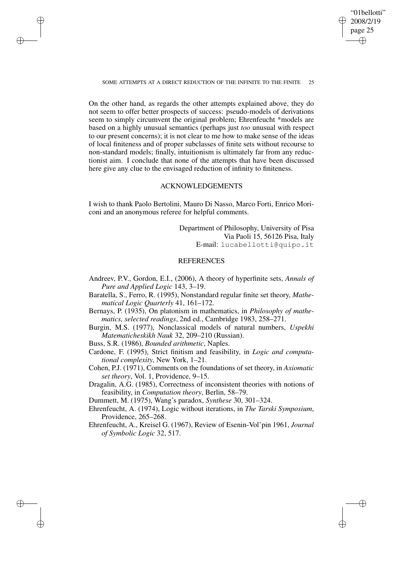"01bellotti" 2008/2/19 page 25 ✐ ✐

✐

✐

SOME ATTEMPTS AT A DIRECT REDUCTION OF THE INFINITE TO THE FINITE 25

✐

✐

✐

✐

On the other hand, as regards the other attempts explained above, they do not seem to offer better prospects of success: pseudo-models of derivations seem to simply circumvent the original problem; Ehrenfeucht \*models are based on a highly unusual semantics (perhaps just *too* unusual with respect to our present concerns); it is not clear to me how to make sense of the ideas of local finiteness and of proper subclasses of finite sets without recourse to non-standard models; finally, intuitionism is ultimately far from any reductionist aim. I conclude that none of the attempts that have been discussed here give any clue to the envisaged reduction of infinity to finiteness.

# ACKNOWLEDGEMENTS

I wish to thank Paolo Bertolini, Mauro Di Nasso, Marco Forti, Enrico Moriconi and an anonymous referee for helpful comments.

> Department of Philosophy, University of Pisa Via Paoli 15, 56126 Pisa, Italy E-mail: lucabellotti@quipo.it

## REFERENCES

- Andreev, P.V., Gordon, E.I., (2006), A theory of hyperfinite sets, *Annals of Pure and Applied Logic* 143, 3–19.
- Baratella, S., Ferro, R. (1995), Nonstandard regular finite set theory, *Mathematical Logic Quarterly* 41, 161–172.
- Bernays, P. (1935), On platonism in mathematics, in *Philosophy of mathematics, selected readings*, 2nd ed., Cambridge 1983, 258–271.
- Burgin, M.S. (1977), Nonclassical models of natural numbers, *Uspekhi Matematicheskikh Nauk* 32, 209–210 (Russian).
- Buss, S.R. (1986), *Bounded arithmetic*, Naples.
- Cardone, F. (1995), Strict finitism and feasibility, in *Logic and computational complexity*, New York, 1–21.
- Cohen, P.J. (1971), Comments on the foundations of set theory, in *Axiomatic set theory*, Vol. 1, Providence, 9–15.
- Dragalin, A.G. (1985), Correctness of inconsistent theories with notions of feasibility, in *Computation theory*, Berlin, 58–79.
- Dummett, M. (1975), Wang's paradox, *Synthese* 30, 301–324.
- Ehrenfeucht, A. (1974), Logic without iterations, in *The Tarski Symposium*, Providence, 265–268.
- Ehrenfeucht, A., Kreisel G. (1967), Review of Esenin-Vol'pin 1961, *Journal of Symbolic Logic* 32, 517.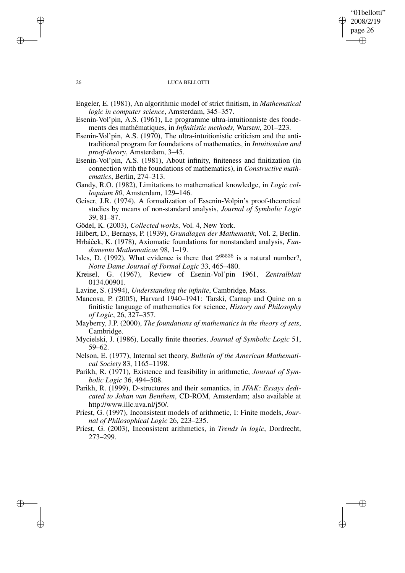## "01bellotti" 2008/2/19 page 26 ✐ ✐

✐

✐

## 26 LUCA BELLOTTI

- Engeler, E. (1981), An algorithmic model of strict finitism, in *Mathematical logic in computer science*, Amsterdam, 345–357.
- Esenin-Vol'pin, A.S. (1961), Le programme ultra-intuitionniste des fondements des mathématiques, in *Infinitistic methods*, Warsaw, 201–223.
- Esenin-Vol'pin, A.S. (1970), The ultra-intuitionistic criticism and the antitraditional program for foundations of mathematics, in *Intuitionism and proof-theory*, Amsterdam, 3–45.
- Esenin-Vol'pin, A.S. (1981), About infinity, finiteness and finitization (in connection with the foundations of mathematics), in *Constructive mathematics*, Berlin, 274–313.
- Gandy, R.O. (1982), Limitations to mathematical knowledge, in *Logic colloquium 80*, Amsterdam, 129–146.
- Geiser, J.R. (1974), A formalization of Essenin-Volpin's proof-theoretical studies by means of non-standard analysis, *Journal of Symbolic Logic* 39, 81–87.
- Gödel, K. (2003), *Collected works*, Vol. 4, New York.
- Hilbert, D., Bernays, P. (1939), *Grundlagen der Mathematik*, Vol. 2, Berlin.
- Hrbáček, K. (1978), Axiomatic foundations for nonstandard analysis, *Fundamenta Mathematicae* 98, 1–19.
- Isles, D. (1992), What evidence is there that  $2^{65536}$  is a natural number?, *Notre Dame Journal of Formal Logic* 33, 465–480.
- Kreisel, G. (1967), Review of Esenin-Vol'pin 1961, *Zentralblatt* 0134.00901.
- Lavine, S. (1994), *Understanding the infinite*, Cambridge, Mass.
- Mancosu, P. (2005), Harvard 1940–1941: Tarski, Carnap and Quine on a finitistic language of mathematics for science, *History and Philosophy of Logic*, 26, 327–357.
- Mayberry, J.P. (2000), *The foundations of mathematics in the theory of sets*, Cambridge.
- Mycielski, J. (1986), Locally finite theories, *Journal of Symbolic Logic* 51, 59–62.
- Nelson, E. (1977), Internal set theory, *Bulletin of the American Mathematical Society* 83, 1165–1198.
- Parikh, R. (1971), Existence and feasibility in arithmetic, *Journal of Symbolic Logic* 36, 494–508.
- Parikh, R. (1999), D-structures and their semantics, in *JFAK: Essays dedicated to Johan van Benthem*, CD-ROM, Amsterdam; also available at http://www.illc.uva.nl/j50/.
- Priest, G. (1997), Inconsistent models of arithmetic, I: Finite models, *Journal of Philosophical Logic* 26, 223–235.
- Priest, G. (2003), Inconsistent arithmetics, in *Trends in logic*, Dordrecht, 273–299.

✐

✐

✐